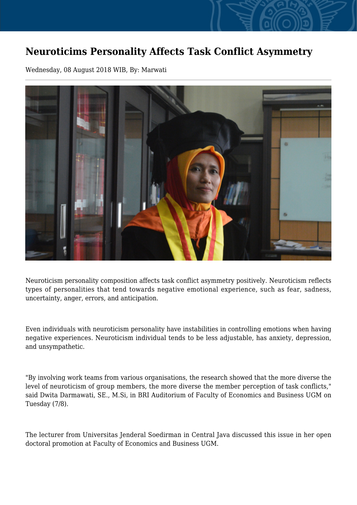## **Neuroticims Personality Affects Task Conflict Asymmetry**

Wednesday, 08 August 2018 WIB, By: Marwati



Neuroticism personality composition affects task conflict asymmetry positively. Neuroticism reflects types of personalities that tend towards negative emotional experience, such as fear, sadness, uncertainty, anger, errors, and anticipation.

Even individuals with neuroticism personality have instabilities in controlling emotions when having negative experiences. Neuroticism individual tends to be less adjustable, has anxiety, depression, and unsympathetic.

"By involving work teams from various organisations, the research showed that the more diverse the level of neuroticism of group members, the more diverse the member perception of task conflicts," said Dwita Darmawati, SE., M.Si, in BRI Auditorium of Faculty of Economics and Business UGM on Tuesday (7/8).

The lecturer from Universitas Jenderal Soedirman in Central Java discussed this issue in her open doctoral promotion at Faculty of Economics and Business UGM.